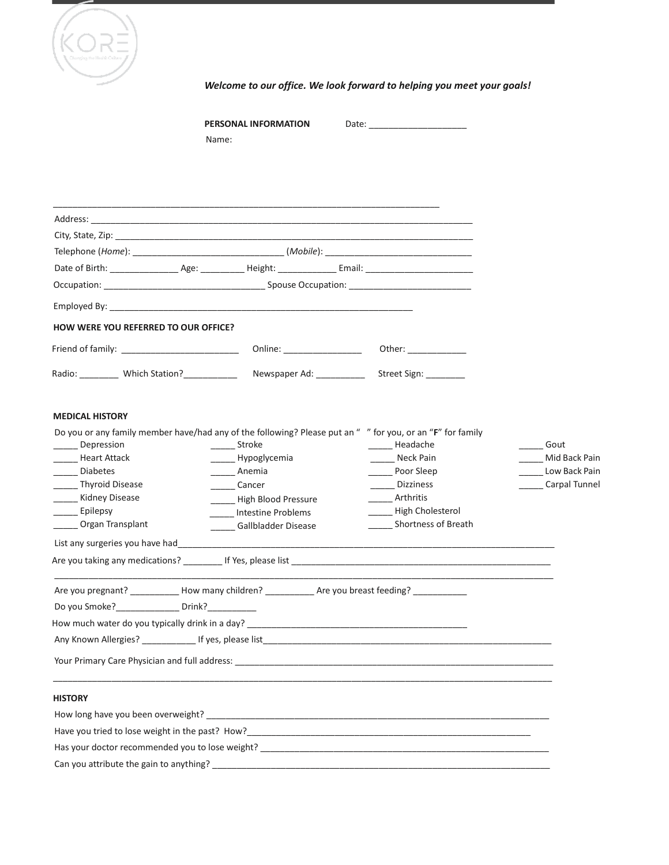

*Welcome to our office. We look forward to helping you meet your goals!*

|                                                                                                                                                                                                | PERSONAL INFORMATION<br>Name:                                                                                                |                                                                                                                                                                                                                        |                                                         |
|------------------------------------------------------------------------------------------------------------------------------------------------------------------------------------------------|------------------------------------------------------------------------------------------------------------------------------|------------------------------------------------------------------------------------------------------------------------------------------------------------------------------------------------------------------------|---------------------------------------------------------|
|                                                                                                                                                                                                |                                                                                                                              |                                                                                                                                                                                                                        |                                                         |
|                                                                                                                                                                                                |                                                                                                                              |                                                                                                                                                                                                                        |                                                         |
|                                                                                                                                                                                                |                                                                                                                              |                                                                                                                                                                                                                        |                                                         |
|                                                                                                                                                                                                |                                                                                                                              |                                                                                                                                                                                                                        |                                                         |
|                                                                                                                                                                                                |                                                                                                                              |                                                                                                                                                                                                                        |                                                         |
|                                                                                                                                                                                                |                                                                                                                              |                                                                                                                                                                                                                        |                                                         |
|                                                                                                                                                                                                |                                                                                                                              |                                                                                                                                                                                                                        |                                                         |
| HOW WERE YOU REFERRED TO OUR OFFICE?                                                                                                                                                           |                                                                                                                              |                                                                                                                                                                                                                        |                                                         |
| Friend of family: ___________________________                                                                                                                                                  | Online: _________________                                                                                                    |                                                                                                                                                                                                                        |                                                         |
| Radio: __________ Which Station?___________                                                                                                                                                    | Newspaper Ad: ___________                                                                                                    | Street Sign: _________                                                                                                                                                                                                 |                                                         |
| <b>MEDICAL HISTORY</b><br>Depression<br><b>Heart Attack</b><br>Diabetes<br>_______ Thyroid Disease<br>______ Kidney Disease<br>Epilepsy<br>Organ Transplant<br>List any surgeries you have had | Stroke<br>______ Hypoglycemia<br>Anemia<br>Cancer<br>High Blood Pressure<br><b>Intestine Problems</b><br>Gallbladder Disease | Do you or any family member have/had any of the following? Please put an " " for you, or an "F" for family<br>Headache<br>Neck Pain<br>Poor Sleep<br>Dizziness<br>Arthritis<br>High Cholesterol<br>Shortness of Breath | Gout<br>Mid Back Pain<br>Low Back Pain<br>Carpal Tunnel |
|                                                                                                                                                                                                |                                                                                                                              |                                                                                                                                                                                                                        |                                                         |
| Are you pregnant? __________                                                                                                                                                                   | How many children?                                                                                                           | Are you breast feeding?                                                                                                                                                                                                |                                                         |
|                                                                                                                                                                                                |                                                                                                                              |                                                                                                                                                                                                                        |                                                         |
|                                                                                                                                                                                                |                                                                                                                              |                                                                                                                                                                                                                        |                                                         |
| <b>HISTORY</b>                                                                                                                                                                                 |                                                                                                                              |                                                                                                                                                                                                                        |                                                         |
|                                                                                                                                                                                                |                                                                                                                              |                                                                                                                                                                                                                        |                                                         |
|                                                                                                                                                                                                |                                                                                                                              |                                                                                                                                                                                                                        |                                                         |
|                                                                                                                                                                                                |                                                                                                                              |                                                                                                                                                                                                                        |                                                         |

Can you attribute the gain to anything? \_\_\_\_\_\_\_\_\_\_\_\_\_\_\_\_\_\_\_\_\_\_\_\_\_\_\_\_\_\_\_\_\_\_\_\_\_\_\_\_\_\_\_\_\_\_\_\_\_\_\_\_\_\_\_\_\_\_\_\_\_\_\_\_\_\_\_\_\_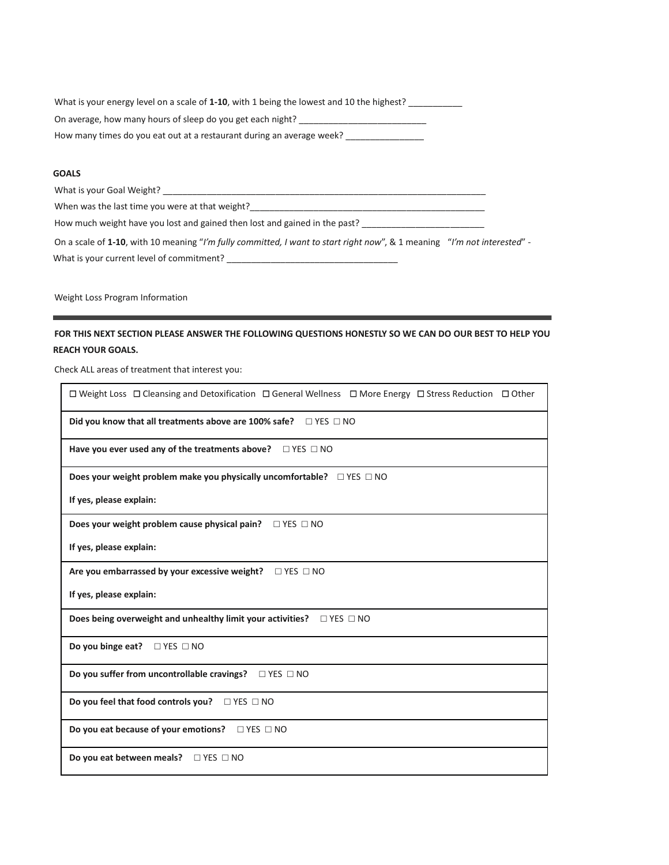| What is your energy level on a scale of 1-10, with 1 being the lowest and 10 the highest? |
|-------------------------------------------------------------------------------------------|
| On average, how many hours of sleep do you get each night?                                |
| How many times do you eat out at a restaurant during an average week?                     |

## **GOALS**

What is your Goal Weight? \_\_\_\_\_\_\_\_\_\_\_\_\_\_\_\_\_\_\_\_\_\_\_\_\_\_\_\_\_\_\_\_\_\_\_\_\_\_\_\_\_\_\_\_\_\_\_\_\_\_\_\_\_\_\_\_\_\_\_\_\_\_\_\_\_\_ When was the last time you were at that weight?\_\_\_\_\_\_\_\_\_\_\_\_\_\_\_\_\_\_\_\_\_\_\_\_\_\_\_\_\_\_\_\_\_ How much weight have you lost and gained then lost and gained in the past? \_\_\_\_\_\_\_\_\_\_\_\_\_\_\_\_\_\_\_\_\_\_\_\_ On a scale of **1-10**, with 10 meaning "*I'm fully committed, I want to start right now*", & 1 meaning "*I'm not interested*" - What is your current level of commitment? \_\_\_\_\_\_\_\_\_\_\_\_\_\_\_\_\_\_\_\_\_\_\_\_\_\_\_\_\_\_\_\_\_\_\_

Weight Loss Program Information

## **FOR THIS NEXT SECTION PLEASE ANSWER THE FOLLOWING QUESTIONS HONESTLY SO WE CAN DO OUR BEST TO HELP YOU REACH YOUR GOALS.**

Check ALL areas of treatment that interest you:

| $\Box$ Weight Loss $\Box$ Cleansing and Detoxification $\Box$ General Wellness $\Box$ More Energy $\Box$ Stress Reduction $\Box$ Other |
|----------------------------------------------------------------------------------------------------------------------------------------|
| Did you know that all treatments above are 100% safe?<br>$\Box$ YES $\Box$ NO                                                          |
| Have you ever used any of the treatments above? $\Box$ YES $\Box$ NO                                                                   |
| Does your weight problem make you physically uncomfortable? $\square$ YES $\square$ NO                                                 |
| If yes, please explain:                                                                                                                |
|                                                                                                                                        |
| If yes, please explain:                                                                                                                |
| Are you embarrassed by your excessive weight? $\Box$ YES $\Box$ NO                                                                     |
| If yes, please explain:                                                                                                                |
| Does being overweight and unhealthy limit your activities?<br>$\Box$ YES $\Box$ NO                                                     |
| Do you binge eat? $\square$ YES $\square$ NO                                                                                           |
| Do you suffer from uncontrollable cravings? $\Box$ YES $\Box$ NO                                                                       |
| Do you feel that food controls you? $\Box$ YES $\Box$ NO                                                                               |
| Do you eat because of your emotions? $\Box$ YES $\Box$ NO                                                                              |
| Do you eat between meals? □ YES □ NO                                                                                                   |